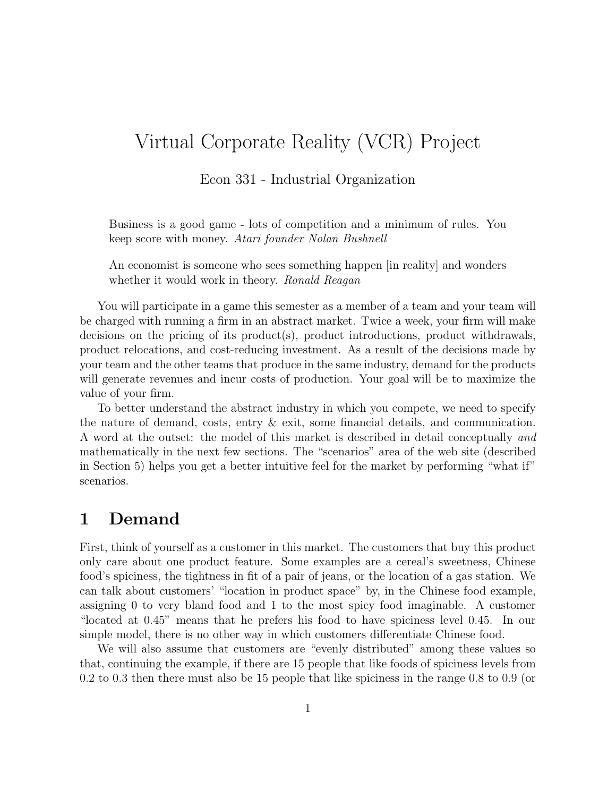# Virtual Corporate Reality (VCR) Project

Econ 331 - Industrial Organization

Business is a good game - lots of competition and a minimum of rules. You keep score with money. Atari founder Nolan Bushnell

An economist is someone who sees something happen [in reality] and wonders whether it would work in theory. Ronald Reagan

You will participate in a game this semester as a member of a team and your team will be charged with running a firm in an abstract market. Twice a week, your firm will make decisions on the pricing of its product(s), product introductions, product withdrawals, product relocations, and cost-reducing investment. As a result of the decisions made by your team and the other teams that produce in the same industry, demand for the products will generate revenues and incur costs of production. Your goal will be to maximize the value of your firm.

To better understand the abstract industry in which you compete, we need to specify the nature of demand, costs, entry & exit, some financial details, and communication. A word at the outset: the model of this market is described in detail conceptually and mathematically in the next few sections. The "scenarios" area of the web site (described in Section 5) helps you get a better intuitive feel for the market by performing "what if" scenarios.

## 1 Demand

First, think of yourself as a customer in this market. The customers that buy this product only care about one product feature. Some examples are a cereal's sweetness, Chinese food's spiciness, the tightness in fit of a pair of jeans, or the location of a gas station. We can talk about customers' "location in product space" by, in the Chinese food example, assigning 0 to very bland food and 1 to the most spicy food imaginable. A customer "located at 0.45" means that he prefers his food to have spiciness level 0.45. In our simple model, there is no other way in which customers differentiate Chinese food.

We will also assume that customers are "evenly distributed" among these values so that, continuing the example, if there are 15 people that like foods of spiciness levels from 0.2 to 0.3 then there must also be 15 people that like spiciness in the range 0.8 to 0.9 (or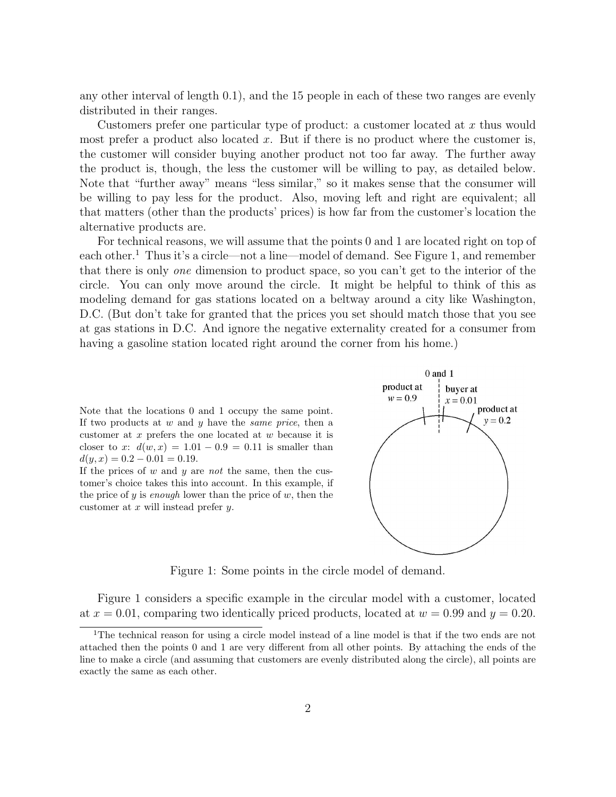any other interval of length 0.1), and the 15 people in each of these two ranges are evenly distributed in their ranges.

Customers prefer one particular type of product: a customer located at x thus would most prefer a product also located x. But if there is no product where the customer is, the customer will consider buying another product not too far away. The further away the product is, though, the less the customer will be willing to pay, as detailed below. Note that "further away" means "less similar," so it makes sense that the consumer will be willing to pay less for the product. Also, moving left and right are equivalent; all that matters (other than the products' prices) is how far from the customer's location the alternative products are.

For technical reasons, we will assume that the points 0 and 1 are located right on top of each other.<sup>1</sup> Thus it's a circle—not a line—model of demand. See Figure 1, and remember that there is only one dimension to product space, so you can't get to the interior of the circle. You can only move around the circle. It might be helpful to think of this as modeling demand for gas stations located on a beltway around a city like Washington, D.C. (But don't take for granted that the prices you set should match those that you see at gas stations in D.C. And ignore the negative externality created for a consumer from having a gasoline station located right around the corner from his home.)

Note that the locations 0 and 1 occupy the same point. If two products at  $w$  and  $y$  have the *same price*, then a customer at x prefers the one located at w because it is closer to x:  $d(w, x) = 1.01 - 0.9 = 0.11$  is smaller than  $d(y, x) = 0.2 - 0.01 = 0.19.$ 

If the prices of  $w$  and  $y$  are not the same, then the customer's choice takes this into account. In this example, if the price of  $y$  is enough lower than the price of  $w$ , then the customer at  $x$  will instead prefer  $y$ .



Figure 1: Some points in the circle model of demand.

Figure 1 considers a specific example in the circular model with a customer, located at  $x = 0.01$ , comparing two identically priced products, located at  $w = 0.99$  and  $y = 0.20$ .

<sup>&</sup>lt;sup>1</sup>The technical reason for using a circle model instead of a line model is that if the two ends are not attached then the points 0 and 1 are very different from all other points. By attaching the ends of the line to make a circle (and assuming that customers are evenly distributed along the circle), all points are exactly the same as each other.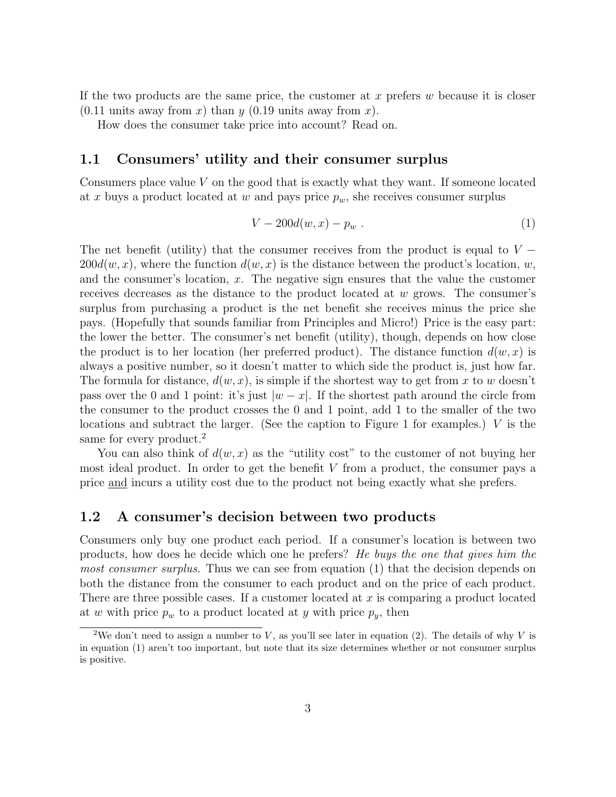If the two products are the same price, the customer at  $x$  prefers  $w$  because it is closer  $(0.11 \text{ units away from } x)$  than y  $(0.19 \text{ units away from } x)$ .

How does the consumer take price into account? Read on.

### 1.1 Consumers' utility and their consumer surplus

Consumers place value V on the good that is exactly what they want. If someone located at x buys a product located at w and pays price  $p_w$ , she receives consumer surplus

$$
V - 200d(w, x) - p_w \t\t(1)
$$

The net benefit (utility) that the consumer receives from the product is equal to  $V 200d(w, x)$ , where the function  $d(w, x)$  is the distance between the product's location, w, and the consumer's location,  $x$ . The negative sign ensures that the value the customer receives decreases as the distance to the product located at  $w$  grows. The consumer's surplus from purchasing a product is the net benefit she receives minus the price she pays. (Hopefully that sounds familiar from Principles and Micro!) Price is the easy part: the lower the better. The consumer's net benefit (utility), though, depends on how close the product is to her location (her preferred product). The distance function  $d(w, x)$  is always a positive number, so it doesn't matter to which side the product is, just how far. The formula for distance,  $d(w, x)$ , is simple if the shortest way to get from x to w doesn't pass over the 0 and 1 point: it's just  $|w-x|$ . If the shortest path around the circle from the consumer to the product crosses the 0 and 1 point, add 1 to the smaller of the two locations and subtract the larger. (See the caption to Figure 1 for examples.) V is the same for every product.<sup>2</sup>

You can also think of  $d(w, x)$  as the "utility cost" to the customer of not buying her most ideal product. In order to get the benefit  $V$  from a product, the consumer pays a price and incurs a utility cost due to the product not being exactly what she prefers.

#### 1.2 A consumer's decision between two products

Consumers only buy one product each period. If a consumer's location is between two products, how does he decide which one he prefers? He buys the one that gives him the most consumer surplus. Thus we can see from equation (1) that the decision depends on both the distance from the consumer to each product and on the price of each product. There are three possible cases. If a customer located at  $x$  is comparing a product located at w with price  $p_w$  to a product located at y with price  $p_y$ , then

<sup>&</sup>lt;sup>2</sup>We don't need to assign a number to V, as you'll see later in equation (2). The details of why V is in equation (1) aren't too important, but note that its size determines whether or not consumer surplus is positive.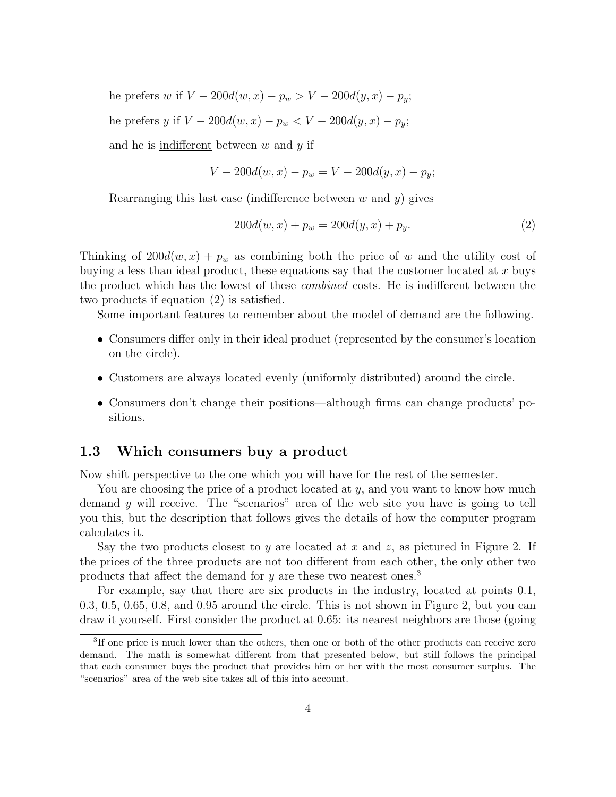he prefers w if  $V - 200d(w, x) - p_w > V - 200d(y, x) - p_y;$ he prefers y if  $V - 200d(w, x) - p_w < V - 200d(y, x) - p_y;$ and he is indifferent between  $w$  and  $y$  if

$$
V - 200d(w, x) - p_w = V - 200d(y, x) - p_y;
$$

Rearranging this last case (indifference between  $w$  and  $y$ ) gives

$$
200d(w, x) + p_w = 200d(y, x) + p_y.
$$
\n(2)

Thinking of  $200d(w, x) + p_w$  as combining both the price of w and the utility cost of buying a less than ideal product, these equations say that the customer located at  $x$  buys the product which has the lowest of these *combined* costs. He is indifferent between the two products if equation (2) is satisfied.

Some important features to remember about the model of demand are the following.

- Consumers differ only in their ideal product (represented by the consumer's location on the circle).
- Customers are always located evenly (uniformly distributed) around the circle.
- Consumers don't change their positions—although firms can change products' positions.

### 1.3 Which consumers buy a product

Now shift perspective to the one which you will have for the rest of the semester.

You are choosing the price of a product located at  $y$ , and you want to know how much demand  $y$  will receive. The "scenarios" area of the web site you have is going to tell you this, but the description that follows gives the details of how the computer program calculates it.

Say the two products closest to y are located at x and z, as pictured in Figure 2. If the prices of the three products are not too different from each other, the only other two products that affect the demand for y are these two nearest ones.<sup>3</sup>

For example, say that there are six products in the industry, located at points 0.1, 0.3, 0.5, 0.65, 0.8, and 0.95 around the circle. This is not shown in Figure 2, but you can draw it yourself. First consider the product at 0.65: its nearest neighbors are those (going

<sup>&</sup>lt;sup>3</sup>If one price is much lower than the others, then one or both of the other products can receive zero demand. The math is somewhat different from that presented below, but still follows the principal that each consumer buys the product that provides him or her with the most consumer surplus. The "scenarios" area of the web site takes all of this into account.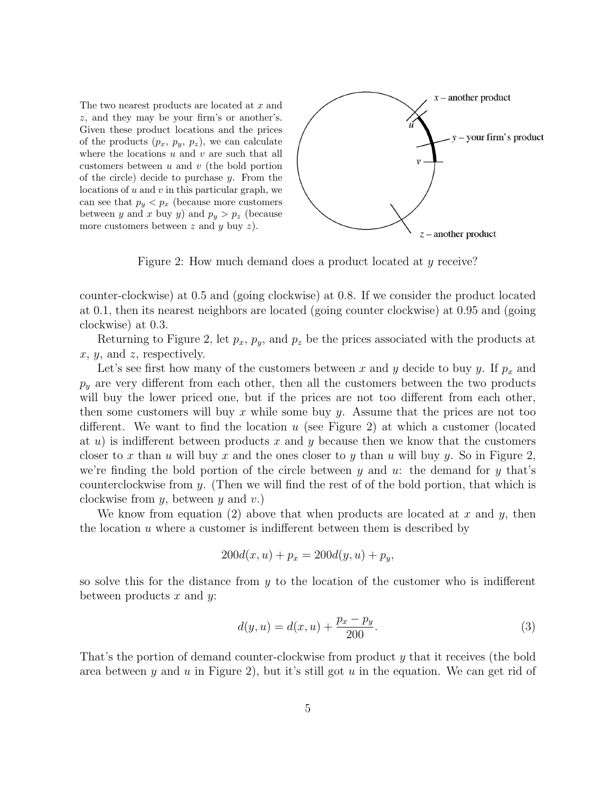The two nearest products are located at x and z, and they may be your firm's or another's. Given these product locations and the prices of the products  $(p_x, p_y, p_z)$ , we can calculate where the locations  $u$  and  $v$  are such that all customers between  $u$  and  $v$  (the bold portion of the circle) decide to purchase  $y$ . From the locations of  $u$  and  $v$  in this particular graph, we can see that  $p_y < p_x$  (because more customers between y and x buy y) and  $p_y > p_z$  (because more customers between  $z$  and  $y$  buy  $z$ ).



Figure 2: How much demand does a product located at y receive?

counter-clockwise) at 0.5 and (going clockwise) at 0.8. If we consider the product located at 0.1, then its nearest neighbors are located (going counter clockwise) at 0.95 and (going clockwise) at 0.3.

Returning to Figure 2, let  $p_x$ ,  $p_y$ , and  $p_z$  be the prices associated with the products at  $x, y, \text{ and } z, \text{ respectively.}$ 

Let's see first how many of the customers between x and y decide to buy y. If  $p_x$  and  $p_y$  are very different from each other, then all the customers between the two products will buy the lower priced one, but if the prices are not too different from each other, then some customers will buy x while some buy y. Assume that the prices are not too different. We want to find the location  $u$  (see Figure 2) at which a customer (located at u) is indifferent between products x and y because then we know that the customers closer to x than u will buy x and the ones closer to y than u will buy y. So in Figure 2, we're finding the bold portion of the circle between y and u: the demand for y that's counterclockwise from  $y$ . (Then we will find the rest of of the bold portion, that which is clockwise from  $y$ , between  $y$  and  $v$ .)

We know from equation (2) above that when products are located at x and y, then the location  $u$  where a customer is indifferent between them is described by

$$
200d(x, u) + p_x = 200d(y, u) + p_y,
$$

so solve this for the distance from  $y$  to the location of the customer who is indifferent between products  $x$  and  $y$ :

$$
d(y, u) = d(x, u) + \frac{p_x - p_y}{200}.
$$
\n(3)

That's the portion of demand counter-clockwise from product y that it receives (the bold area between y and u in Figure 2), but it's still got u in the equation. We can get rid of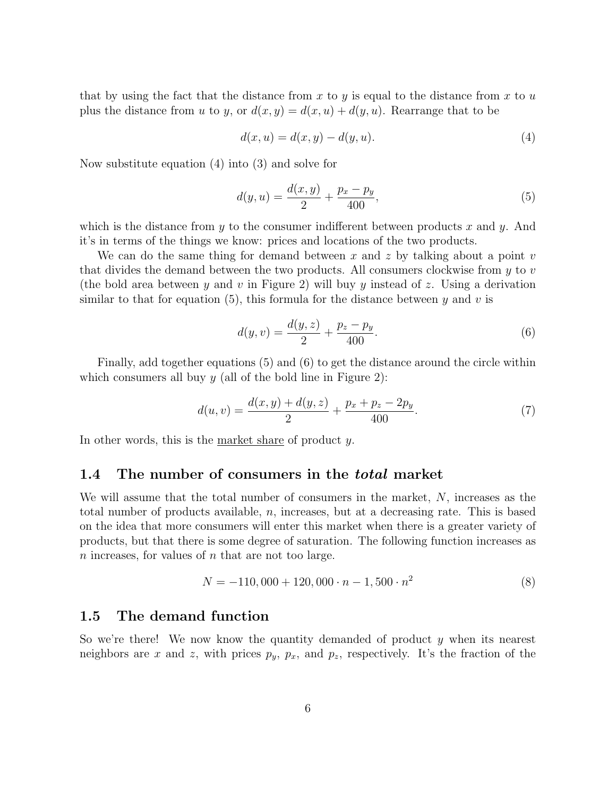that by using the fact that the distance from x to y is equal to the distance from x to  $u$ plus the distance from u to y, or  $d(x, y) = d(x, u) + d(y, u)$ . Rearrange that to be

$$
d(x, u) = d(x, y) - d(y, u).
$$
 (4)

Now substitute equation (4) into (3) and solve for

$$
d(y, u) = \frac{d(x, y)}{2} + \frac{p_x - p_y}{400},
$$
\n(5)

which is the distance from  $y$  to the consumer indifferent between products  $x$  and  $y$ . And it's in terms of the things we know: prices and locations of the two products.

We can do the same thing for demand between x and z by talking about a point v that divides the demand between the two products. All consumers clockwise from  $y$  to  $v$ (the bold area between y and v in Figure 2) will buy y instead of z. Using a derivation similar to that for equation (5), this formula for the distance between y and v is

$$
d(y, v) = \frac{d(y, z)}{2} + \frac{p_z - p_y}{400}.
$$
\n<sup>(6)</sup>

Finally, add together equations (5) and (6) to get the distance around the circle within which consumers all buy  $y$  (all of the bold line in Figure 2):

$$
d(u,v) = \frac{d(x,y) + d(y,z)}{2} + \frac{p_x + p_z - 2p_y}{400}.
$$
 (7)

In other words, this is the market share of product y.

#### 1.4 The number of consumers in the *total* market

We will assume that the total number of consumers in the market, N, increases as the total number of products available,  $n$ , increases, but at a decreasing rate. This is based on the idea that more consumers will enter this market when there is a greater variety of products, but that there is some degree of saturation. The following function increases as n increases, for values of n that are not too large.

$$
N = -110,000 + 120,000 \cdot n - 1,500 \cdot n^2 \tag{8}
$$

### 1.5 The demand function

So we're there! We now know the quantity demanded of product  $y$  when its nearest neighbors are x and z, with prices  $p_y$ ,  $p_x$ , and  $p_z$ , respectively. It's the fraction of the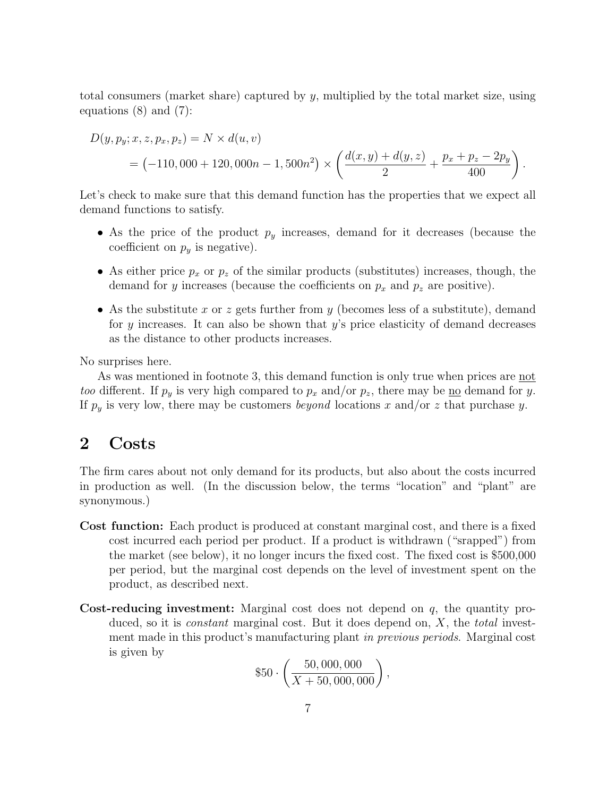total consumers (market share) captured by  $y$ , multiplied by the total market size, using equations (8) and (7):

$$
D(y, p_y; x, z, p_x, p_z) = N \times d(u, v)
$$
  
= (-110, 000 + 120, 000n - 1, 500n<sup>2</sup>) \times \left(\frac{d(x, y) + d(y, z)}{2} + \frac{p\_x + p\_z - 2p\_y}{400}\right).

Let's check to make sure that this demand function has the properties that we expect all demand functions to satisfy.

- As the price of the product  $p_y$  increases, demand for it decreases (because the coefficient on  $p_y$  is negative).
- As either price  $p_x$  or  $p_z$  of the similar products (substitutes) increases, though, the demand for y increases (because the coefficients on  $p_x$  and  $p_z$  are positive).
- As the substitute x or z gets further from y (becomes less of a substitute), demand for y increases. It can also be shown that  $y$ 's price elasticity of demand decreases as the distance to other products increases.

No surprises here.

As was mentioned in footnote 3, this demand function is only true when prices are not *too* different. If  $p_y$  is very high compared to  $p_x$  and/or  $p_z$ , there may be <u>no</u> demand for y. If  $p_y$  is very low, there may be customers *beyond* locations x and/or z that purchase y.

### 2 Costs

The firm cares about not only demand for its products, but also about the costs incurred in production as well. (In the discussion below, the terms "location" and "plant" are synonymous.)

- Cost function: Each product is produced at constant marginal cost, and there is a fixed cost incurred each period per product. If a product is withdrawn ("srapped") from the market (see below), it no longer incurs the fixed cost. The fixed cost is \$500,000 per period, but the marginal cost depends on the level of investment spent on the product, as described next.
- **Cost-reducing investment:** Marginal cost does not depend on  $q$ , the quantity produced, so it is *constant* marginal cost. But it does depend on,  $X$ , the *total* investment made in this product's manufacturing plant in previous periods. Marginal cost is given by

$$
$50 \cdot \left(\frac{50,000,000}{X+50,000,000}\right),
$$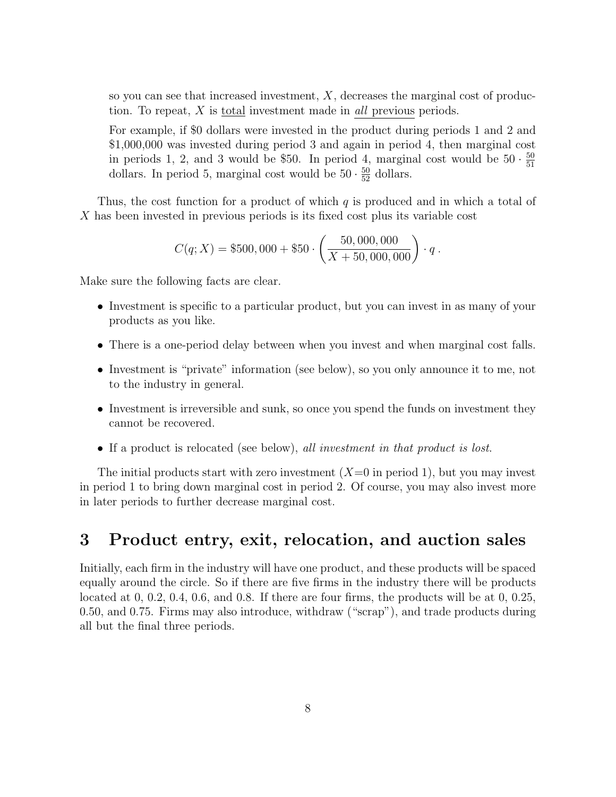so you can see that increased investment,  $X$ , decreases the marginal cost of production. To repeat, X is total investment made in all previous periods.

For example, if \$0 dollars were invested in the product during periods 1 and 2 and \$1,000,000 was invested during period 3 and again in period 4, then marginal cost in periods 1, 2, and 3 would be \$50. In period 4, marginal cost would be  $50 \cdot \frac{50}{51}$ 51 dollars. In period 5, marginal cost would be  $50 \cdot \frac{50}{52}$  dollars.

Thus, the cost function for a product of which  $q$  is produced and in which a total of X has been invested in previous periods is its fixed cost plus its variable cost

$$
C(q;X) = $500,000 + $50 \cdot \left(\frac{50,000,000}{X + 50,000,000}\right) \cdot q.
$$

Make sure the following facts are clear.

- Investment is specific to a particular product, but you can invest in as many of your products as you like.
- There is a one-period delay between when you invest and when marginal cost falls.
- Investment is "private" information (see below), so you only announce it to me, not to the industry in general.
- Investment is irreversible and sunk, so once you spend the funds on investment they cannot be recovered.
- If a product is relocated (see below), all investment in that product is lost.

The initial products start with zero investment  $(X=0$  in period 1), but you may invest in period 1 to bring down marginal cost in period 2. Of course, you may also invest more in later periods to further decrease marginal cost.

# 3 Product entry, exit, relocation, and auction sales

Initially, each firm in the industry will have one product, and these products will be spaced equally around the circle. So if there are five firms in the industry there will be products located at 0, 0.2, 0.4, 0.6, and 0.8. If there are four firms, the products will be at 0, 0.25, 0.50, and 0.75. Firms may also introduce, withdraw ("scrap"), and trade products during all but the final three periods.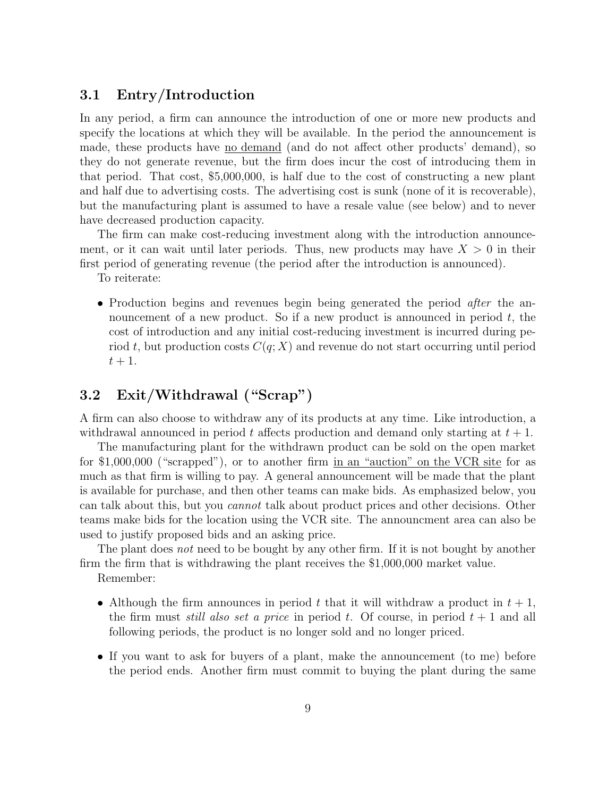### 3.1 Entry/Introduction

In any period, a firm can announce the introduction of one or more new products and specify the locations at which they will be available. In the period the announcement is made, these products have no demand (and do not affect other products' demand), so they do not generate revenue, but the firm does incur the cost of introducing them in that period. That cost, \$5,000,000, is half due to the cost of constructing a new plant and half due to advertising costs. The advertising cost is sunk (none of it is recoverable), but the manufacturing plant is assumed to have a resale value (see below) and to never have decreased production capacity.

The firm can make cost-reducing investment along with the introduction announcement, or it can wait until later periods. Thus, new products may have  $X > 0$  in their first period of generating revenue (the period after the introduction is announced).

To reiterate:

• Production begins and revenues begin being generated the period *after* the announcement of a new product. So if a new product is announced in period  $t$ , the cost of introduction and any initial cost-reducing investment is incurred during period t, but production costs  $C(q; X)$  and revenue do not start occurring until period  $t+1$ .

### 3.2 Exit/Withdrawal ("Scrap")

A firm can also choose to withdraw any of its products at any time. Like introduction, a withdrawal announced in period t affects production and demand only starting at  $t + 1$ .

The manufacturing plant for the withdrawn product can be sold on the open market for \$1,000,000 ("scrapped"), or to another firm in an "auction" on the VCR site for as much as that firm is willing to pay. A general announcement will be made that the plant is available for purchase, and then other teams can make bids. As emphasized below, you can talk about this, but you cannot talk about product prices and other decisions. Other teams make bids for the location using the VCR site. The announcment area can also be used to justify proposed bids and an asking price.

The plant does *not* need to be bought by any other firm. If it is not bought by another firm the firm that is withdrawing the plant receives the \$1,000,000 market value.

Remember:

- Although the firm announces in period t that it will withdraw a product in  $t + 1$ , the firm must *still also set a price* in period t. Of course, in period  $t + 1$  and all following periods, the product is no longer sold and no longer priced.
- If you want to ask for buyers of a plant, make the announcement (to me) before the period ends. Another firm must commit to buying the plant during the same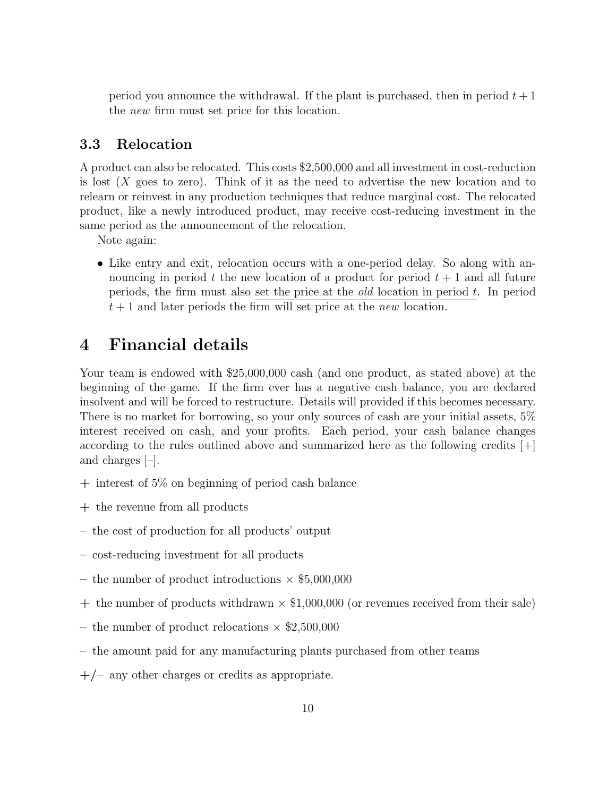period you announce the withdrawal. If the plant is purchased, then in period  $t + 1$ the new firm must set price for this location.

### 3.3 Relocation

A product can also be relocated. This costs \$2,500,000 and all investment in cost-reduction is lost  $(X \text{ goes to zero})$ . Think of it as the need to advertise the new location and to relearn or reinvest in any production techniques that reduce marginal cost. The relocated product, like a newly introduced product, may receive cost-reducing investment in the same period as the announcement of the relocation.

Note again:

• Like entry and exit, relocation occurs with a one-period delay. So along with announcing in period t the new location of a product for period  $t + 1$  and all future periods, the firm must also set the price at the *old* location in period  $t$ . In period  $t+1$  and later periods the firm will set price at the new location.

# 4 Financial details

Your team is endowed with \$25,000,000 cash (and one product, as stated above) at the beginning of the game. If the firm ever has a negative cash balance, you are declared insolvent and will be forced to restructure. Details will provided if this becomes necessary. There is no market for borrowing, so your only sources of cash are your initial assets, 5% interest received on cash, and your profits. Each period, your cash balance changes according to the rules outlined above and summarized here as the following credits  $|+|$ and charges [–].

- $+$  interest of 5% on beginning of period cash balance
- + the revenue from all products
- the cost of production for all products' output
- cost-reducing investment for all products
- the number of product introductions  $\times$  \$5,000,000
- $+$  the number of products withdrawn  $\times$  \$1,000,000 (or revenues received from their sale)
- the number of product relocations  $\times$  \$2,500,000
- the amount paid for any manufacturing plants purchased from other teams
- $+/-$  any other charges or credits as appropriate.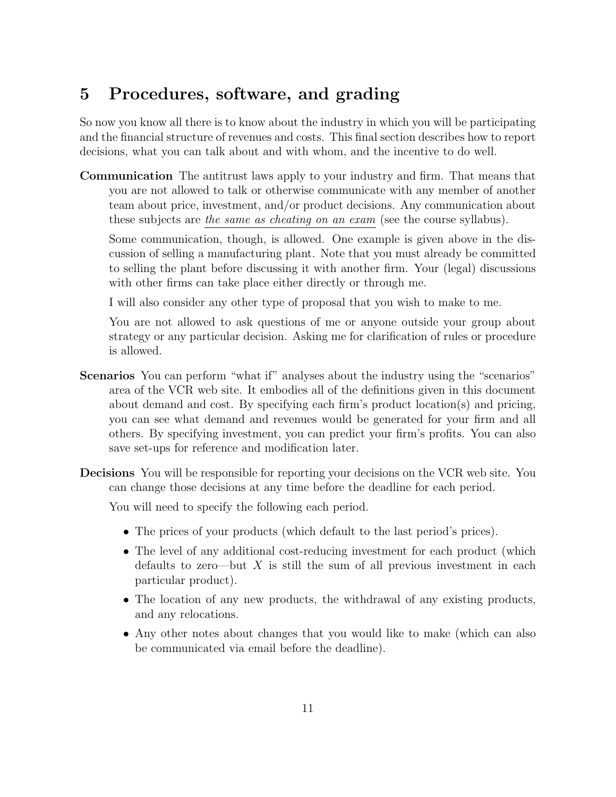# 5 Procedures, software, and grading

So now you know all there is to know about the industry in which you will be participating and the financial structure of revenues and costs. This final section describes how to report decisions, what you can talk about and with whom, and the incentive to do well.

Communication The antitrust laws apply to your industry and firm. That means that you are not allowed to talk or otherwise communicate with any member of another team about price, investment, and/or product decisions. Any communication about these subjects are the same as cheating on an exam (see the course syllabus).

Some communication, though, is allowed. One example is given above in the discussion of selling a manufacturing plant. Note that you must already be committed to selling the plant before discussing it with another firm. Your (legal) discussions with other firms can take place either directly or through me.

I will also consider any other type of proposal that you wish to make to me.

You are not allowed to ask questions of me or anyone outside your group about strategy or any particular decision. Asking me for clarification of rules or procedure is allowed.

- Scenarios You can perform "what if" analyses about the industry using the "scenarios" area of the VCR web site. It embodies all of the definitions given in this document about demand and cost. By specifying each firm's product location(s) and pricing, you can see what demand and revenues would be generated for your firm and all others. By specifying investment, you can predict your firm's profits. You can also save set-ups for reference and modification later.
- Decisions You will be responsible for reporting your decisions on the VCR web site. You can change those decisions at any time before the deadline for each period.

You will need to specify the following each period.

- The prices of your products (which default to the last period's prices).
- The level of any additional cost-reducing investment for each product (which defaults to zero—but  $X$  is still the sum of all previous investment in each particular product).
- The location of any new products, the withdrawal of any existing products, and any relocations.
- Any other notes about changes that you would like to make (which can also be communicated via email before the deadline).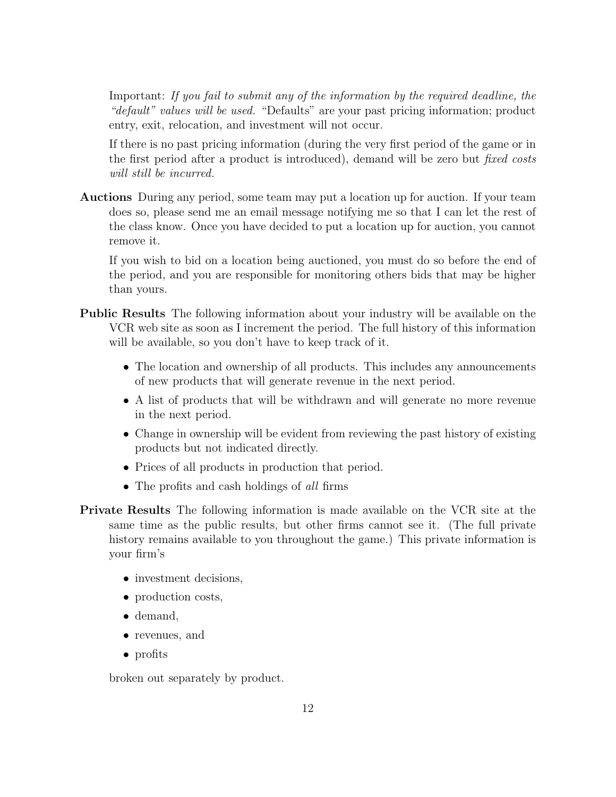Important: If you fail to submit any of the information by the required deadline, the "default" values will be used. "Defaults" are your past pricing information; product entry, exit, relocation, and investment will not occur.

If there is no past pricing information (during the very first period of the game or in the first period after a product is introduced), demand will be zero but *fixed costs* will still be incurred.

Auctions During any period, some team may put a location up for auction. If your team does so, please send me an email message notifying me so that I can let the rest of the class know. Once you have decided to put a location up for auction, you cannot remove it.

If you wish to bid on a location being auctioned, you must do so before the end of the period, and you are responsible for monitoring others bids that may be higher than yours.

- Public Results The following information about your industry will be available on the VCR web site as soon as I increment the period. The full history of this information will be available, so you don't have to keep track of it.
	- The location and ownership of all products. This includes any announcements of new products that will generate revenue in the next period.
	- A list of products that will be withdrawn and will generate no more revenue in the next period.
	- Change in ownership will be evident from reviewing the past history of existing products but not indicated directly.
	- Prices of all products in production that period.
	- The profits and cash holdings of all firms
- Private Results The following information is made available on the VCR site at the same time as the public results, but other firms cannot see it. (The full private history remains available to you throughout the game.) This private information is your firm's
	- investment decisions,
	- production costs,
	- demand,
	- revenues, and
	- profits

broken out separately by product.